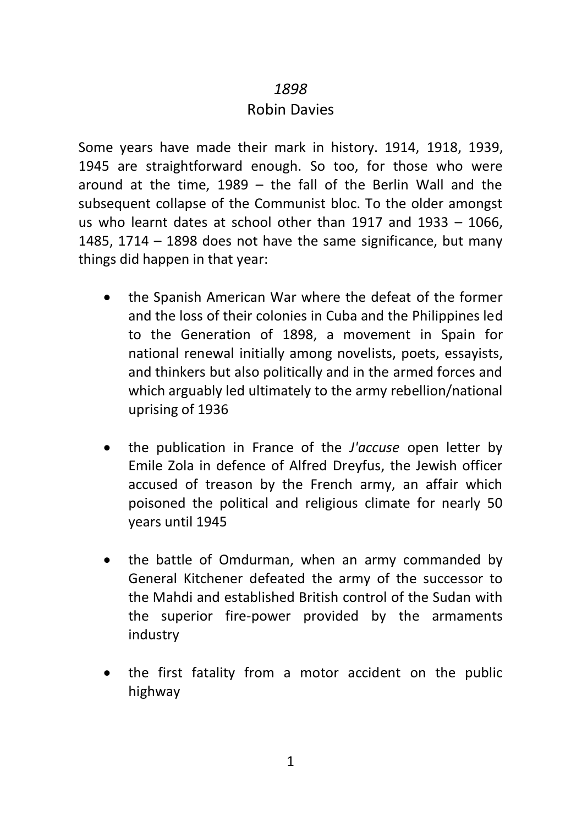## *1898*

## Robin Davies

Some years have made their mark in history. 1914, 1918, 1939, 1945 are straightforward enough. So too, for those who were around at the time, 1989 – the fall of the Berlin Wall and the subsequent collapse of the Communist bloc. To the older amongst us who learnt dates at school other than 1917 and 1933 – 1066, 1485, 1714 – 1898 does not have the same significance, but many things did happen in that year:

- the Spanish American War where the defeat of the former and the loss of their colonies in Cuba and the Philippines led to the Generation of 1898, a movement in Spain for national renewal initially among novelists, poets, essayists, and thinkers but also politically and in the armed forces and which arguably led ultimately to the army rebellion/national uprising of 1936
- the publication in France of the *J'accuse* open letter by Emile Zola in defence of Alfred Dreyfus, the Jewish officer accused of treason by the French army, an affair which poisoned the political and religious climate for nearly 50 years until 1945
- the battle of Omdurman, when an army commanded by General Kitchener defeated the army of the successor to the Mahdi and established British control of the Sudan with the superior fire-power provided by the armaments industry
- the first fatality from a motor accident on the public highway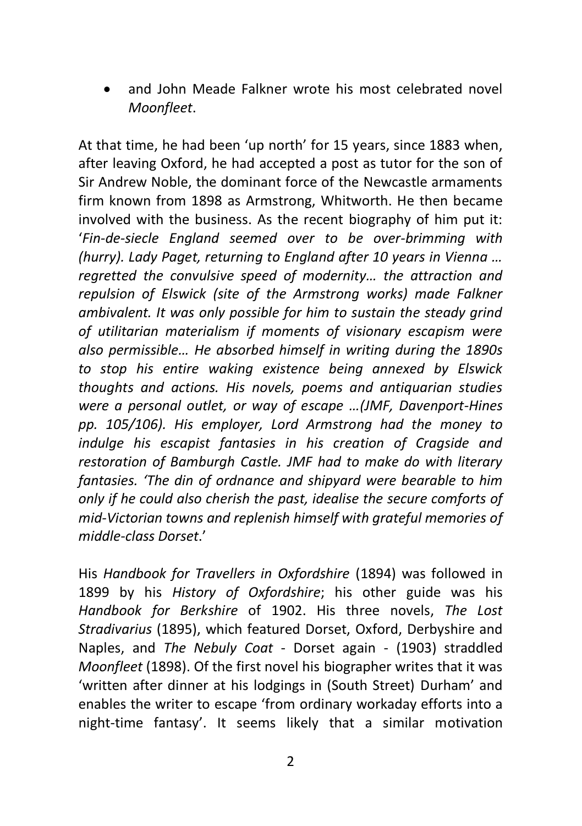• and John Meade Falkner wrote his most celebrated novel *Moonfleet*.

At that time, he had been 'up north' for 15 years, since 1883 when, after leaving Oxford, he had accepted a post as tutor for the son of Sir Andrew Noble, the dominant force of the Newcastle armaments firm known from 1898 as Armstrong, Whitworth. He then became involved with the business. As the recent biography of him put it: '*Fin-de-siecle England seemed over to be over-brimming with (hurry). Lady Paget, returning to England after 10 years in Vienna … regretted the convulsive speed of modernity… the attraction and repulsion of Elswick (site of the Armstrong works) made Falkner ambivalent. It was only possible for him to sustain the steady grind of utilitarian materialism if moments of visionary escapism were also permissible… He absorbed himself in writing during the 1890s to stop his entire waking existence being annexed by Elswick thoughts and actions. His novels, poems and antiquarian studies were a personal outlet, or way of escape …(JMF, Davenport-Hines pp. 105/106). His employer, Lord Armstrong had the money to indulge his escapist fantasies in his creation of Cragside and restoration of Bamburgh Castle. JMF had to make do with literary fantasies. 'The din of ordnance and shipyard were bearable to him only if he could also cherish the past, idealise the secure comforts of mid-Victorian towns and replenish himself with grateful memories of middle-class Dorset*.'

His *Handbook for Travellers in Oxfordshire* (1894) was followed in 1899 by his *History of Oxfordshire*; his other guide was his *Handbook for Berkshire* of 1902. His three novels, *The Lost Stradivarius* (1895), which featured Dorset, Oxford, Derbyshire and Naples, and *The Nebuly Coat* - Dorset again - (1903) straddled *Moonfleet* (1898). Of the first novel his biographer writes that it was 'written after dinner at his lodgings in (South Street) Durham' and enables the writer to escape 'from ordinary workaday efforts into a night-time fantasy'. It seems likely that a similar motivation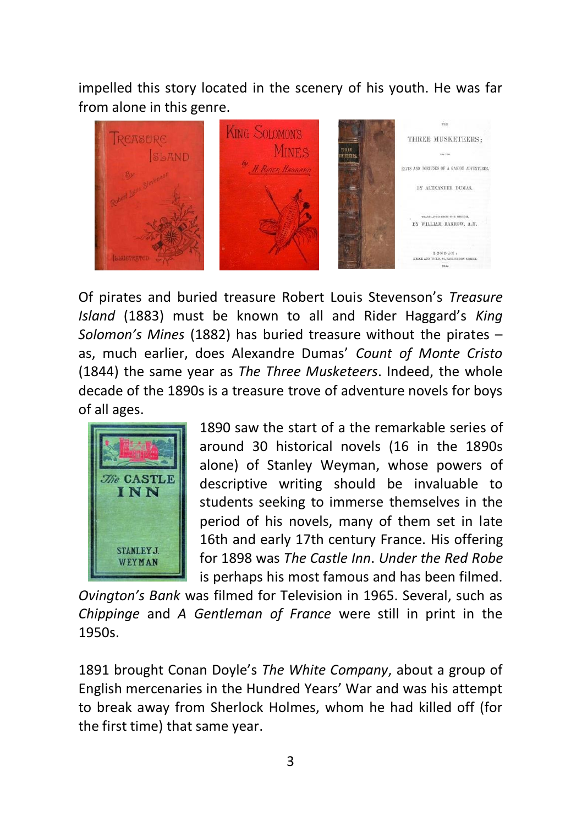impelled this story located in the scenery of his youth. He was far from alone in this genre.



Of pirates and buried treasure Robert Louis Stevenson's *Treasure Island* (1883) must be known to all and Rider Haggard's *King Solomon's Mines* (1882) has buried treasure without the pirates – as, much earlier, does Alexandre Dumas' *Count of Monte Cristo* (1844) the same year as *The Three Musketeers*. Indeed, the whole decade of the 1890s is a treasure trove of adventure novels for boys of all ages.



1890 saw the start of a the remarkable series of around 30 historical novels (16 in the 1890s alone) of Stanley Weyman, whose powers of descriptive writing should be invaluable to students seeking to immerse themselves in the period of his novels, many of them set in late 16th and early 17th century France. His offering for 1898 was *The Castle Inn*. *Under the Red Robe* is perhaps his most famous and has been filmed.

*Ovington's Bank* was filmed for Television in 1965. Several, such as *Chippinge* and *A Gentleman of France* were still in print in the 1950s.

1891 brought Conan Doyle's *The White Company*, about a group of English mercenaries in the Hundred Years' War and was his attempt to break away from Sherlock Holmes, whom he had killed off (for the first time) that same year.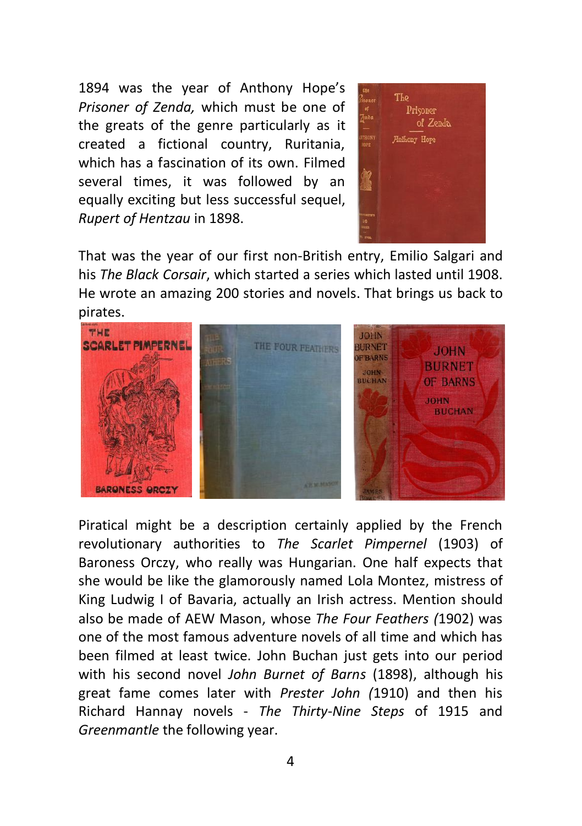1894 was the year of Anthony Hope's *Prisoner of Zenda,* which must be one of the greats of the genre particularly as it created a fictional country, Ruritania, which has a fascination of its own. Filmed several times, it was followed by an equally exciting but less successful sequel, *Rupert of Hentzau* in 1898.



That was the year of our first non-British entry, Emilio Salgari and his *The Black Corsair*, which started a series which lasted until 1908. He wrote an amazing 200 stories and novels. That brings us back to pirates.



Piratical might be a description certainly applied by the French revolutionary authorities to *The Scarlet Pimpernel* (1903) of Baroness Orczy, who really was Hungarian. One half expects that she would be like the glamorously named Lola Montez, mistress of King Ludwig I of Bavaria, actually an Irish actress. Mention should also be made of AEW Mason, whose *The Four Feathers (*1902) was one of the most famous adventure novels of all time and which has been filmed at least twice. John Buchan just gets into our period with his second novel *John Burnet of Barns* (1898), although his great fame comes later with *Prester John (*1910) and then his Richard Hannay novels - *The Thirty-Nine Steps* of 1915 and *Greenmantle* the following year.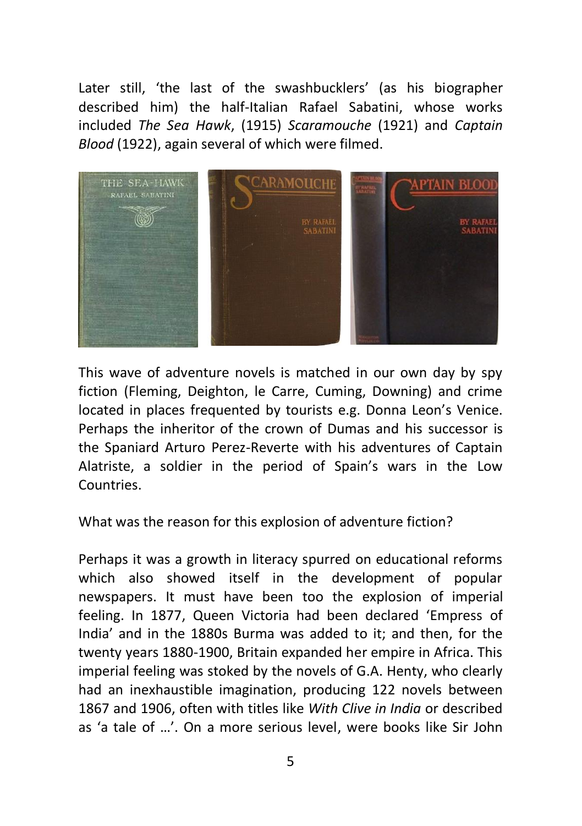Later still, 'the last of the swashbucklers' (as his biographer described him) the half-Italian Rafael Sabatini, whose works included *The Sea Hawk*, (1915) *Scaramouche* (1921) and *Captain Blood* (1922), again several of which were filmed.



This wave of adventure novels is matched in our own day by spy fiction (Fleming, Deighton, le Carre, Cuming, Downing) and crime located in places frequented by tourists e.g. Donna Leon's Venice. Perhaps the inheritor of the crown of Dumas and his successor is the Spaniard Arturo Perez-Reverte with his adventures of Captain Alatriste, a soldier in the period of Spain's wars in the Low Countries.

What was the reason for this explosion of adventure fiction?

Perhaps it was a growth in literacy spurred on educational reforms which also showed itself in the development of popular newspapers. It must have been too the explosion of imperial feeling. In 1877, Queen Victoria had been declared 'Empress of India' and in the 1880s Burma was added to it; and then, for the twenty years 1880-1900, Britain expanded her empire in Africa. This imperial feeling was stoked by the novels of G.A. Henty, who clearly had an inexhaustible imagination, producing 122 novels between 1867 and 1906, often with titles like *With Clive in India* or described as 'a tale of …'. On a more serious level, were books like Sir John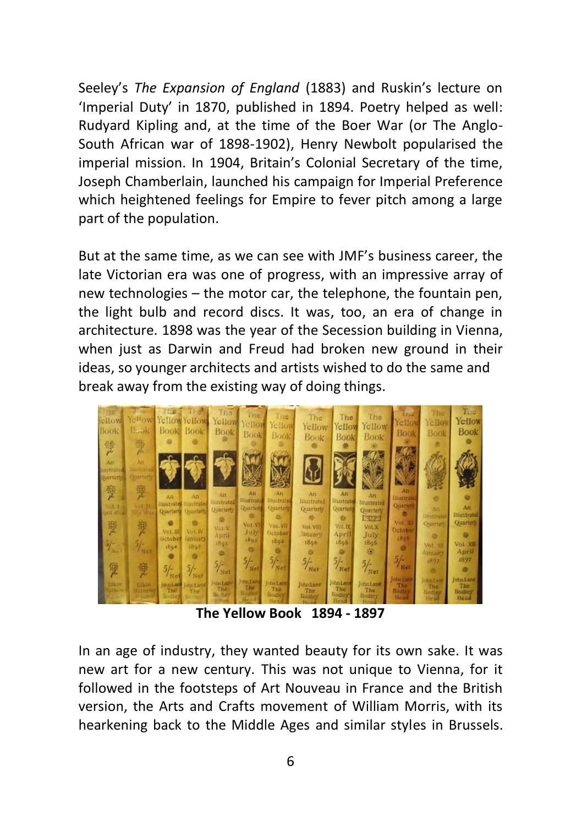Seeley's *The Expansion of England* (1883) and Ruskin's lecture on 'Imperial Duty' in 1870, published in 1894. Poetry helped as well: Rudyard Kipling and, at the time of the Boer War (or The Anglo-South African war of 1898-1902), Henry Newbolt popularised the imperial mission. In 1904, Britain's Colonial Secretary of the time, Joseph Chamberlain, launched his campaign for Imperial Preference which heightened feelings for Empire to fever pitch among a large part of the population.

But at the same time, as we can see with JMF's business career, the late Victorian era was one of progress, with an impressive array of new technologies – the motor car, the telephone, the fountain pen, the light bulb and record discs. It was, too, an era of change in architecture. 1898 was the year of the Secession building in Vienna, when just as Darwin and Freud had broken new ground in their ideas, so younger architects and artists wished to do the same and break away from the existing way of doing things.



**The Yellow Book 1894 - 1897**

In an age of industry, they wanted beauty for its own sake. It was new art for a new century. This was not unique to Vienna, for it followed in the footsteps of Art Nouveau in France and the British version, the Arts and Crafts movement of William Morris, with its hearkening back to the Middle Ages and similar styles in Brussels.